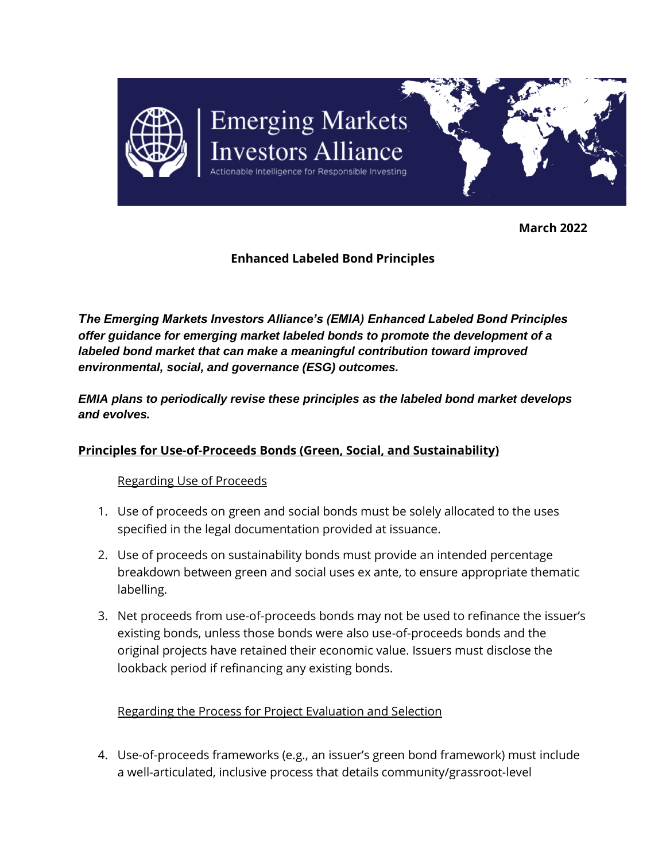

**March 2022**

# **Enhanced Labeled Bond Principles**

*The Emerging Markets Investors Alliance's (EMIA) Enhanced Labeled Bond Principles offer guidance for emerging market labeled bonds to promote the development of a labeled bond market that can make a meaningful contribution toward improved environmental, social, and governance (ESG) outcomes.*

*EMIA plans to periodically revise these principles as the labeled bond market develops and evolves.*

### **Principles for Use-of-Proceeds Bonds (Green, Social, and Sustainability)**

### Regarding Use of Proceeds

- 1. Use of proceeds on green and social bonds must be solely allocated to the uses specified in the legal documentation provided at issuance.
- 2. Use of proceeds on sustainability bonds must provide an intended percentage breakdown between green and social uses ex ante, to ensure appropriate thematic labelling.
- 3. Net proceeds from use-of-proceeds bonds may not be used to refinance the issuer's existing bonds, unless those bonds were also use-of-proceeds bonds and the original projects have retained their economic value. Issuers must disclose the lookback period if refinancing any existing bonds.

Regarding the Process for Project Evaluation and Selection

4. Use-of-proceeds frameworks (e.g., an issuer's green bond framework) must include a well-articulated, inclusive process that details community/grassroot-level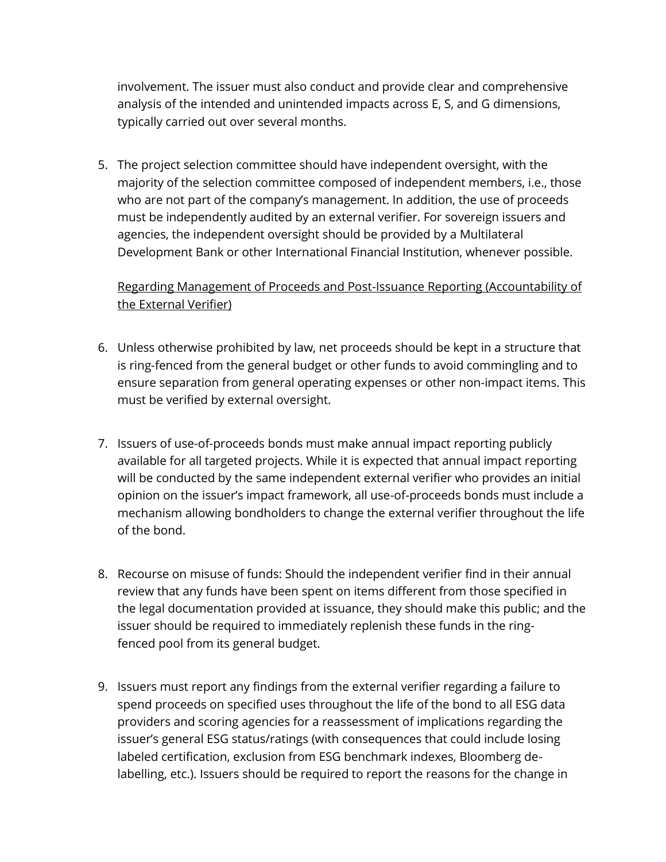involvement. The issuer must also conduct and provide clear and comprehensive analysis of the intended and unintended impacts across E, S, and G dimensions, typically carried out over several months.

5. The project selection committee should have independent oversight, with the majority of the selection committee composed of independent members, i.e., those who are not part of the company's management. In addition, the use of proceeds must be independently audited by an external verifier. For sovereign issuers and agencies, the independent oversight should be provided by a Multilateral Development Bank or other International Financial Institution, whenever possible.

# Regarding Management of Proceeds and Post-Issuance Reporting (Accountability of the External Verifier)

- 6. Unless otherwise prohibited by law, net proceeds should be kept in a structure that is ring-fenced from the general budget or other funds to avoid commingling and to ensure separation from general operating expenses or other non-impact items. This must be verified by external oversight.
- 7. Issuers of use-of-proceeds bonds must make annual impact reporting publicly available for all targeted projects. While it is expected that annual impact reporting will be conducted by the same independent external verifier who provides an initial opinion on the issuer's impact framework, all use-of-proceeds bonds must include a mechanism allowing bondholders to change the external verifier throughout the life of the bond.
- 8. Recourse on misuse of funds: Should the independent verifier find in their annual review that any funds have been spent on items different from those specified in the legal documentation provided at issuance, they should make this public; and the issuer should be required to immediately replenish these funds in the ringfenced pool from its general budget.
- 9. Issuers must report any findings from the external verifier regarding a failure to spend proceeds on specified uses throughout the life of the bond to all ESG data providers and scoring agencies for a reassessment of implications regarding the issuer's general ESG status/ratings (with consequences that could include losing labeled certification, exclusion from ESG benchmark indexes, Bloomberg delabelling, etc.). Issuers should be required to report the reasons for the change in